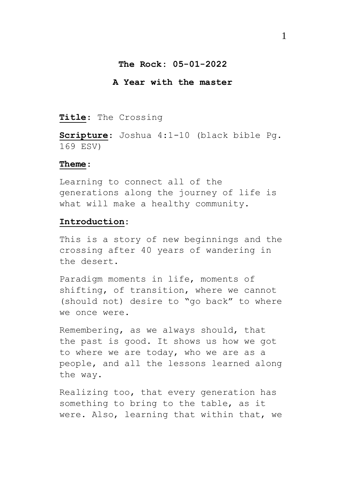### **The Rock: 05-01-2022**

### **A Year with the master**

## **Title**: The Crossing

**Scripture**: Joshua 4:1-10 (black bible Pg. 169 ESV)

#### **Theme**:

Learning to connect all of the generations along the journey of life is what will make a healthy community.

## **Introduction:**

This is a story of new beginnings and the crossing after 40 years of wandering in the desert.

Paradigm moments in life, moments of shifting, of transition, where we cannot (should not) desire to "go back" to where we once were.

Remembering, as we always should, that the past is good. It shows us how we got to where we are today, who we are as a people, and all the lessons learned along the way.

Realizing too, that every generation has something to bring to the table, as it were. Also, learning that within that, we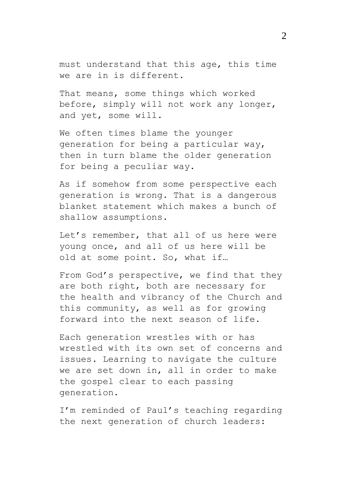must understand that this age, this time we are in is different.

That means, some things which worked before, simply will not work any longer, and yet, some will.

We often times blame the younger generation for being a particular way, then in turn blame the older generation for being a peculiar way.

As if somehow from some perspective each generation is wrong. That is a dangerous blanket statement which makes a bunch of shallow assumptions.

Let's remember, that all of us here were young once, and all of us here will be old at some point. So, what if…

From God's perspective, we find that they are both right, both are necessary for the health and vibrancy of the Church and this community, as well as for growing forward into the next season of life.

Each generation wrestles with or has wrestled with its own set of concerns and issues. Learning to navigate the culture we are set down in, all in order to make the gospel clear to each passing generation.

I'm reminded of Paul's teaching regarding the next generation of church leaders: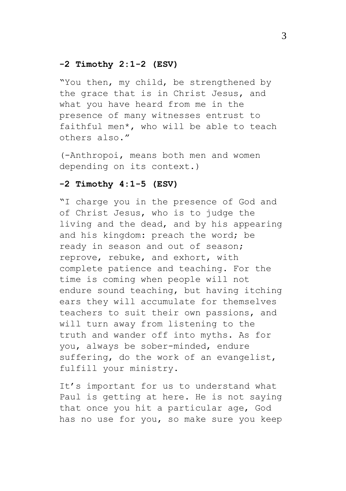## **-2 Timothy 2:1-2 (ESV)**

"You then, my child, be strengthened by the grace that is in Christ Jesus, and what you have heard from me in the presence of many witnesses entrust to faithful men\*, who will be able to teach others also."

(-Anthropoi, means both men and women depending on its context.)

### **-2 Timothy 4:1-5 (ESV)**

"I charge you in the presence of God and of Christ Jesus, who is to judge the living and the dead, and by his appearing and his kingdom: preach the word; be ready in season and out of season; reprove, rebuke, and exhort, with complete patience and teaching. For the time is coming when people will not endure sound teaching, but having itching ears they will accumulate for themselves teachers to suit their own passions, and will turn away from listening to the truth and wander off into myths. As for you, always be sober-minded, endure suffering, do the work of an evangelist, fulfill your ministry.

It's important for us to understand what Paul is getting at here. He is not saying that once you hit a particular age, God has no use for you, so make sure you keep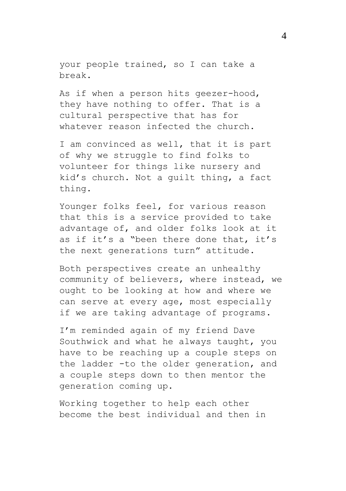your people trained, so I can take a break.

As if when a person hits geezer-hood, they have nothing to offer. That is a cultural perspective that has for whatever reason infected the church.

I am convinced as well, that it is part of why we struggle to find folks to volunteer for things like nursery and kid's church. Not a guilt thing, a fact thing.

Younger folks feel, for various reason that this is a service provided to take advantage of, and older folks look at it as if it's a "been there done that, it's the next generations turn" attitude.

Both perspectives create an unhealthy community of believers, where instead, we ought to be looking at how and where we can serve at every age, most especially if we are taking advantage of programs.

I'm reminded again of my friend Dave Southwick and what he always taught, you have to be reaching up a couple steps on the ladder -to the older generation, and a couple steps down to then mentor the generation coming up.

Working together to help each other become the best individual and then in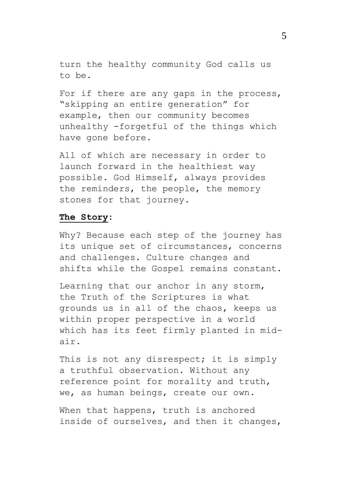turn the healthy community God calls us to be.

For if there are any gaps in the process, "skipping an entire generation" for example, then our community becomes unhealthy -forgetful of the things which have gone before.

All of which are necessary in order to launch forward in the healthiest way possible. God Himself, always provides the reminders, the people, the memory stones for that journey.

### **The Story:**

Why? Because each step of the journey has its unique set of circumstances, concerns and challenges. Culture changes and shifts while the Gospel remains constant.

Learning that our anchor in any storm, the Truth of the Scriptures is what grounds us in all of the chaos, keeps us within proper perspective in a world which has its feet firmly planted in midair.

This is not any disrespect; it is simply a truthful observation. Without any reference point for morality and truth, we, as human beings, create our own.

When that happens, truth is anchored inside of ourselves, and then it changes,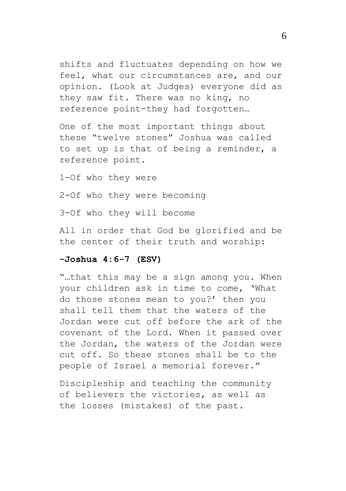shifts and fluctuates depending on how we feel, what our circumstances are, and our opinion. (Look at Judges) everyone did as they saw fit. There was no king, no reference point-they had forgotten…

One of the most important things about these "twelve stones" Joshua was called to set up is that of being a reminder, a reference point.

1-Of who they were

2-Of who they were becoming

3-Of who they will become

All in order that God be glorified and be the center of their truth and worship:

# **-Joshua 4:6-7 (ESV)**

"…that this may be a sign among you. When your children ask in time to come, 'What do those stones mean to you?' then you shall tell them that the waters of the Jordan were cut off before the ark of the covenant of the Lord. When it passed over the Jordan, the waters of the Jordan were cut off. So these stones shall be to the people of Israel a memorial forever."

Discipleship and teaching the community of believers the victories, as well as the losses (mistakes) of the past.

6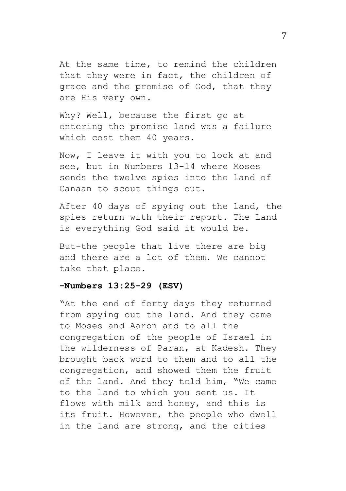At the same time, to remind the children that they were in fact, the children of grace and the promise of God, that they are His very own.

Why? Well, because the first go at entering the promise land was a failure which cost them 40 years.

Now, I leave it with you to look at and see, but in Numbers 13-14 where Moses sends the twelve spies into the land of Canaan to scout things out.

After 40 days of spying out the land, the spies return with their report. The Land is everything God said it would be.

But-the people that live there are big and there are a lot of them. We cannot take that place.

### **-Numbers 13:25-29 (ESV)**

"At the end of forty days they returned from spying out the land. And they came to Moses and Aaron and to all the congregation of the people of Israel in the wilderness of Paran, at Kadesh. They brought back word to them and to all the congregation, and showed them the fruit of the land. And they told him, "We came to the land to which you sent us. It flows with milk and honey, and this is its fruit. However, the people who dwell in the land are strong, and the cities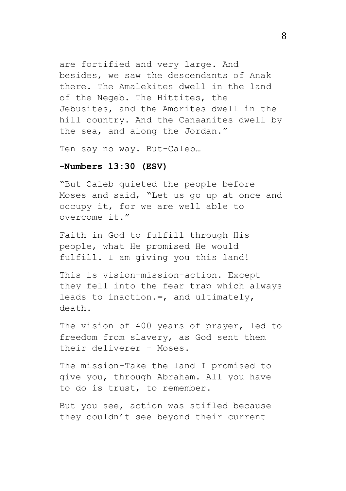are fortified and very large. And besides, we saw the descendants of Anak there. The Amalekites dwell in the land of the Negeb. The Hittites, the Jebusites, and the Amorites dwell in the hill country. And the Canaanites dwell by the sea, and along the Jordan."

Ten say no way. But-Caleb…

### **-Numbers 13:30 (ESV)**

"But Caleb quieted the people before Moses and said, "Let us go up at once and occupy it, for we are well able to overcome it."

Faith in God to fulfill through His people, what He promised He would fulfill. I am giving you this land!

This is vision-mission-action. Except they fell into the fear trap which always leads to inaction.=, and ultimately, death.

The vision of 400 years of prayer, led to freedom from slavery, as God sent them their deliverer – Moses.

The mission-Take the land I promised to give you, through Abraham. All you have to do is trust, to remember.

But you see, action was stifled because they couldn't see beyond their current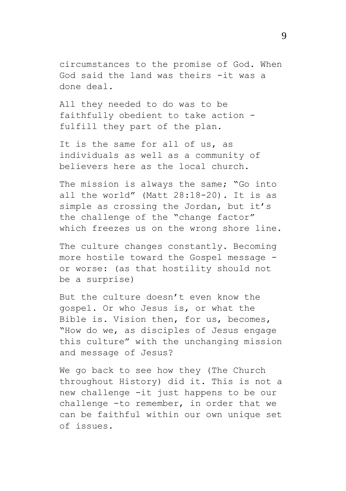circumstances to the promise of God. When God said the land was theirs -it was a done deal.

All they needed to do was to be faithfully obedient to take action fulfill they part of the plan.

It is the same for all of us, as individuals as well as a community of believers here as the local church.

The mission is always the same; "Go into all the world" (Matt 28:18-20). It is as simple as crossing the Jordan, but it's the challenge of the "change factor" which freezes us on the wrong shore line.

The culture changes constantly. Becoming more hostile toward the Gospel message or worse: (as that hostility should not be a surprise)

But the culture doesn't even know the gospel. Or who Jesus is, or what the Bible is. Vision then, for us, becomes, "How do we, as disciples of Jesus engage this culture" with the unchanging mission and message of Jesus?

We go back to see how they (The Church throughout History) did it. This is not a new challenge -it just happens to be our challenge -to remember, in order that we can be faithful within our own unique set of issues.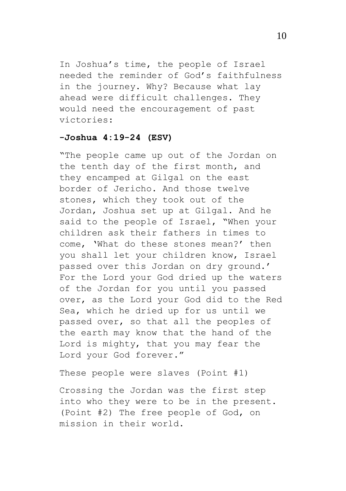In Joshua's time, the people of Israel needed the reminder of God's faithfulness in the journey. Why? Because what lay ahead were difficult challenges. They would need the encouragement of past victories:

## **-Joshua 4:19-24 (ESV)**

"The people came up out of the Jordan on the tenth day of the first month, and they encamped at Gilgal on the east border of Jericho. And those twelve stones, which they took out of the Jordan, Joshua set up at Gilgal. And he said to the people of Israel, "When your children ask their fathers in times to come, 'What do these stones mean?' then you shall let your children know, Israel passed over this Jordan on dry ground.' For the Lord your God dried up the waters of the Jordan for you until you passed over, as the Lord your God did to the Red Sea, which he dried up for us until we passed over, so that all the peoples of the earth may know that the hand of the Lord is mighty, that you may fear the Lord your God forever."

These people were slaves (Point #1)

Crossing the Jordan was the first step into who they were to be in the present. (Point #2) The free people of God, on mission in their world.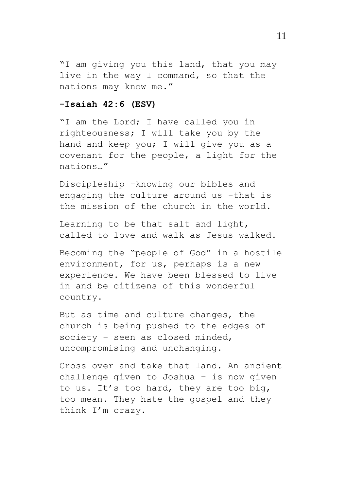"I am giving you this land, that you may live in the way I command, so that the nations may know me."

### **-Isaiah 42:6 (ESV)**

"I am the Lord; I have called you in righteousness; I will take you by the hand and keep you; I will give you as a covenant for the people, a light for the nations…"

Discipleship -knowing our bibles and engaging the culture around us -that is the mission of the church in the world.

Learning to be that salt and light, called to love and walk as Jesus walked.

Becoming the "people of God" in a hostile environment, for us, perhaps is a new experience. We have been blessed to live in and be citizens of this wonderful country.

But as time and culture changes, the church is being pushed to the edges of society – seen as closed minded, uncompromising and unchanging.

Cross over and take that land. An ancient challenge given to Joshua – is now given to us. It's too hard, they are too big, too mean. They hate the gospel and they think I'm crazy.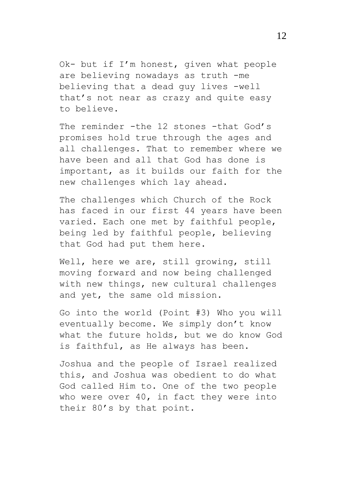Ok- but if I'm honest, given what people are believing nowadays as truth -me believing that a dead guy lives -well that's not near as crazy and quite easy to believe.

The reminder -the 12 stones -that God's promises hold true through the ages and all challenges. That to remember where we have been and all that God has done is important, as it builds our faith for the new challenges which lay ahead.

The challenges which Church of the Rock has faced in our first 44 years have been varied. Each one met by faithful people, being led by faithful people, believing that God had put them here.

Well, here we are, still growing, still moving forward and now being challenged with new things, new cultural challenges and yet, the same old mission.

Go into the world (Point #3) Who you will eventually become. We simply don't know what the future holds, but we do know God is faithful, as He always has been.

Joshua and the people of Israel realized this, and Joshua was obedient to do what God called Him to. One of the two people who were over 40, in fact they were into their 80's by that point.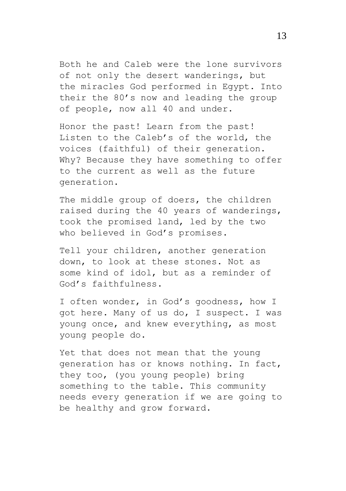Both he and Caleb were the lone survivors of not only the desert wanderings, but the miracles God performed in Egypt. Into their the 80's now and leading the group of people, now all 40 and under.

Honor the past! Learn from the past! Listen to the Caleb's of the world, the voices (faithful) of their generation. Why? Because they have something to offer to the current as well as the future generation.

The middle group of doers, the children raised during the 40 years of wanderings, took the promised land, led by the two who believed in God's promises.

Tell your children, another generation down, to look at these stones. Not as some kind of idol, but as a reminder of God's faithfulness.

I often wonder, in God's goodness, how I got here. Many of us do, I suspect. I was young once, and knew everything, as most young people do.

Yet that does not mean that the young generation has or knows nothing. In fact, they too, (you young people) bring something to the table. This community needs every generation if we are going to be healthy and grow forward.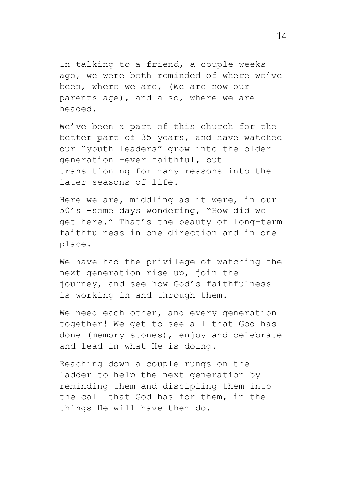In talking to a friend, a couple weeks ago, we were both reminded of where we've been, where we are, (We are now our parents age), and also, where we are headed.

We've been a part of this church for the better part of 35 years, and have watched our "youth leaders" grow into the older generation -ever faithful, but transitioning for many reasons into the later seasons of life.

Here we are, middling as it were, in our 50's -some days wondering, "How did we get here." That's the beauty of long-term faithfulness in one direction and in one place.

We have had the privilege of watching the next generation rise up, join the journey, and see how God's faithfulness is working in and through them.

We need each other, and every generation together! We get to see all that God has done (memory stones), enjoy and celebrate and lead in what He is doing.

Reaching down a couple rungs on the ladder to help the next generation by reminding them and discipling them into the call that God has for them, in the things He will have them do.